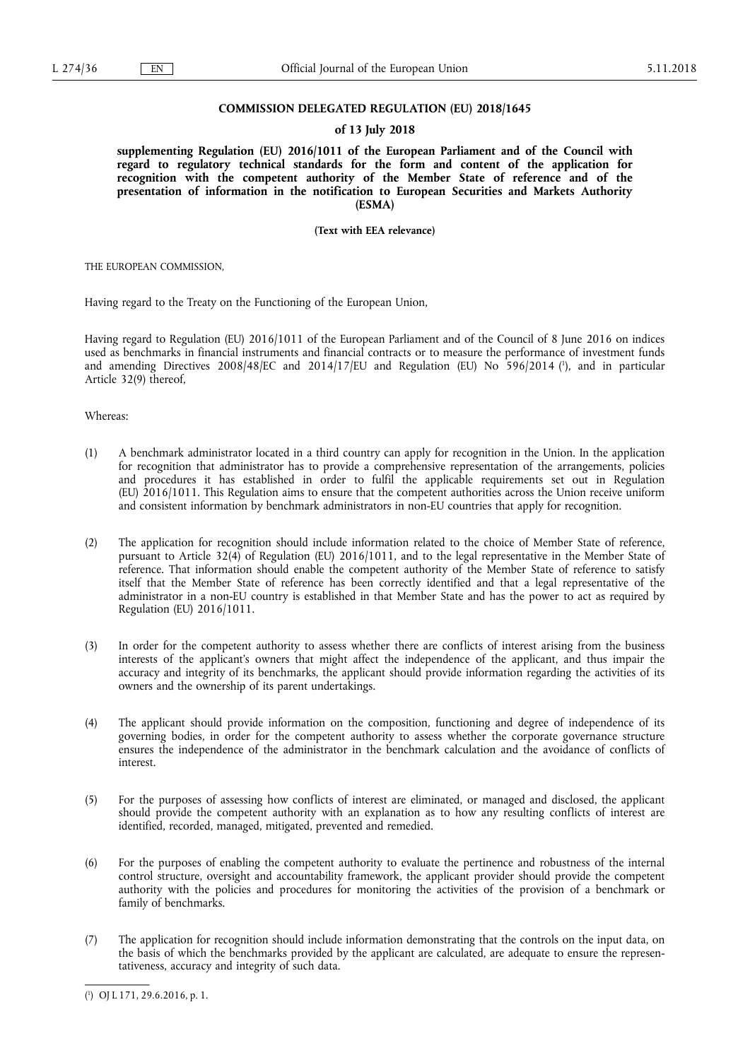# **COMMISSION DELEGATED REGULATION (EU) 2018/1645**

## **of 13 July 2018**

**supplementing Regulation (EU) 2016/1011 of the European Parliament and of the Council with regard to regulatory technical standards for the form and content of the application for recognition with the competent authority of the Member State of reference and of the presentation of information in the notification to European Securities and Markets Authority (ESMA)** 

**(Text with EEA relevance)** 

THE EUROPEAN COMMISSION,

Having regard to the Treaty on the Functioning of the European Union,

Having regard to Regulation (EU) 2016/1011 of the European Parliament and of the Council of 8 June 2016 on indices used as benchmarks in financial instruments and financial contracts or to measure the performance of investment funds and amending Directives 2008/48/EC and 2014/17/EU and Regulation (EU) No 596/2014 ( 1 ), and in particular Article 32(9) thereof,

Whereas:

- (1) A benchmark administrator located in a third country can apply for recognition in the Union. In the application for recognition that administrator has to provide a comprehensive representation of the arrangements, policies and procedures it has established in order to fulfil the applicable requirements set out in Regulation (EU) 2016/1011. This Regulation aims to ensure that the competent authorities across the Union receive uniform and consistent information by benchmark administrators in non-EU countries that apply for recognition.
- (2) The application for recognition should include information related to the choice of Member State of reference, pursuant to Article 32(4) of Regulation (EU) 2016/1011, and to the legal representative in the Member State of reference. That information should enable the competent authority of the Member State of reference to satisfy itself that the Member State of reference has been correctly identified and that a legal representative of the administrator in a non-EU country is established in that Member State and has the power to act as required by Regulation (EU) 2016/1011.
- (3) In order for the competent authority to assess whether there are conflicts of interest arising from the business interests of the applicant's owners that might affect the independence of the applicant, and thus impair the accuracy and integrity of its benchmarks, the applicant should provide information regarding the activities of its owners and the ownership of its parent undertakings.
- (4) The applicant should provide information on the composition, functioning and degree of independence of its governing bodies, in order for the competent authority to assess whether the corporate governance structure ensures the independence of the administrator in the benchmark calculation and the avoidance of conflicts of interest.
- (5) For the purposes of assessing how conflicts of interest are eliminated, or managed and disclosed, the applicant should provide the competent authority with an explanation as to how any resulting conflicts of interest are identified, recorded, managed, mitigated, prevented and remedied.
- (6) For the purposes of enabling the competent authority to evaluate the pertinence and robustness of the internal control structure, oversight and accountability framework, the applicant provider should provide the competent authority with the policies and procedures for monitoring the activities of the provision of a benchmark or family of benchmarks.
- (7) The application for recognition should include information demonstrating that the controls on the input data, on the basis of which the benchmarks provided by the applicant are calculated, are adequate to ensure the representativeness, accuracy and integrity of such data.

<sup>(</sup> 1 ) OJ L 171, 29.6.2016, p. 1.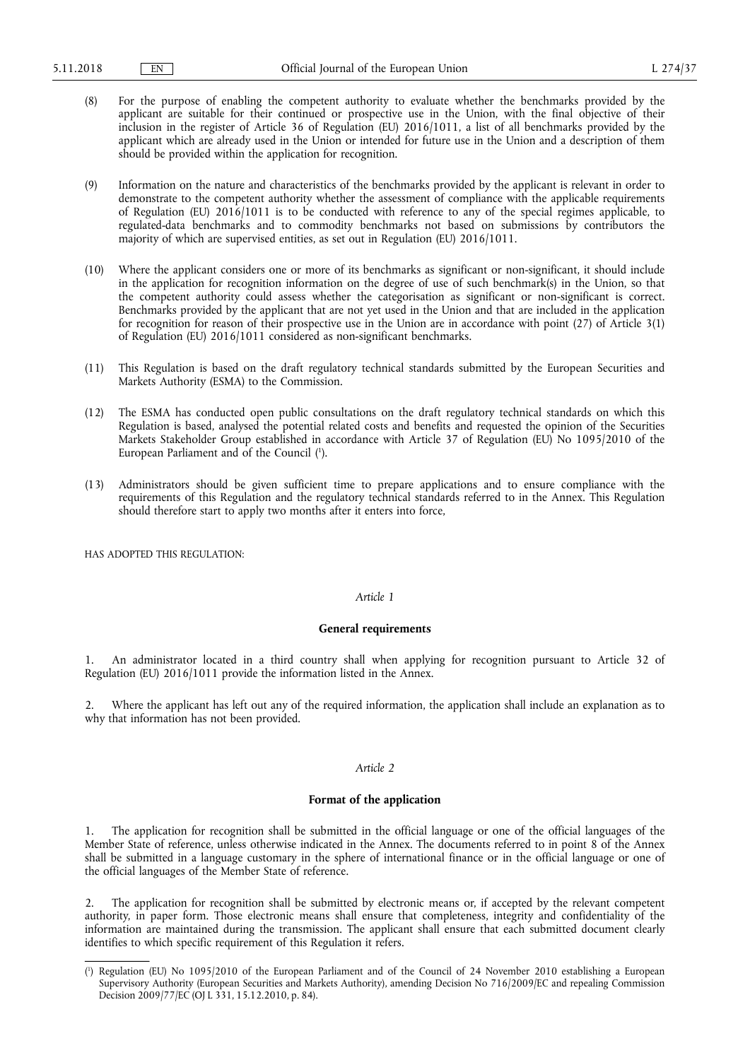- (8) For the purpose of enabling the competent authority to evaluate whether the benchmarks provided by the applicant are suitable for their continued or prospective use in the Union, with the final objective of their inclusion in the register of Article 36 of Regulation (EU) 2016/1011, a list of all benchmarks provided by the applicant which are already used in the Union or intended for future use in the Union and a description of them should be provided within the application for recognition.
- (9) Information on the nature and characteristics of the benchmarks provided by the applicant is relevant in order to demonstrate to the competent authority whether the assessment of compliance with the applicable requirements of Regulation (EU) 2016/1011 is to be conducted with reference to any of the special regimes applicable, to regulated-data benchmarks and to commodity benchmarks not based on submissions by contributors the majority of which are supervised entities, as set out in Regulation (EU) 2016/1011.
- (10) Where the applicant considers one or more of its benchmarks as significant or non-significant, it should include in the application for recognition information on the degree of use of such benchmark(s) in the Union, so that the competent authority could assess whether the categorisation as significant or non-significant is correct. Benchmarks provided by the applicant that are not yet used in the Union and that are included in the application for recognition for reason of their prospective use in the Union are in accordance with point (27) of Article 3(1) of Regulation (EU) 2016/1011 considered as non-significant benchmarks.
- (11) This Regulation is based on the draft regulatory technical standards submitted by the European Securities and Markets Authority (ESMA) to the Commission.
- (12) The ESMA has conducted open public consultations on the draft regulatory technical standards on which this Regulation is based, analysed the potential related costs and benefits and requested the opinion of the Securities Markets Stakeholder Group established in accordance with Article 37 of Regulation (EU) No 1095/2010 of the European Parliament and of the Council ( 1 ).
- (13) Administrators should be given sufficient time to prepare applications and to ensure compliance with the requirements of this Regulation and the regulatory technical standards referred to in the Annex. This Regulation should therefore start to apply two months after it enters into force,

HAS ADOPTED THIS REGULATION:

## *Article 1*

#### **General requirements**

1. An administrator located in a third country shall when applying for recognition pursuant to Article 32 of Regulation (EU) 2016/1011 provide the information listed in the Annex.

Where the applicant has left out any of the required information, the application shall include an explanation as to why that information has not been provided.

# *Article 2*

# **Format of the application**

1. The application for recognition shall be submitted in the official language or one of the official languages of the Member State of reference, unless otherwise indicated in the Annex. The documents referred to in point 8 of the Annex shall be submitted in a language customary in the sphere of international finance or in the official language or one of the official languages of the Member State of reference.

2. The application for recognition shall be submitted by electronic means or, if accepted by the relevant competent authority, in paper form. Those electronic means shall ensure that completeness, integrity and confidentiality of the information are maintained during the transmission. The applicant shall ensure that each submitted document clearly identifies to which specific requirement of this Regulation it refers.

<sup>(</sup> 1 ) Regulation (EU) No 1095/2010 of the European Parliament and of the Council of 24 November 2010 establishing a European Supervisory Authority (European Securities and Markets Authority), amending Decision No 716/2009/EC and repealing Commission Decision 2009/77/EC (OJ L 331, 15.12.2010, p. 84).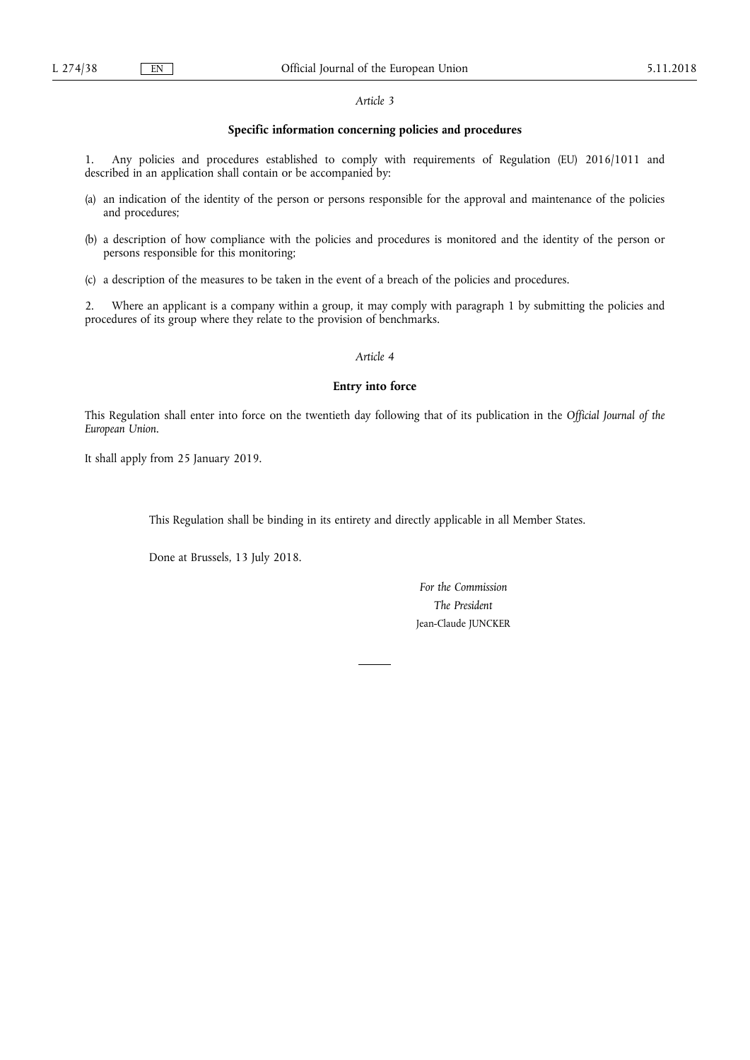## *Article 3*

## **Specific information concerning policies and procedures**

1. Any policies and procedures established to comply with requirements of Regulation (EU) 2016/1011 and described in an application shall contain or be accompanied by:

- (a) an indication of the identity of the person or persons responsible for the approval and maintenance of the policies and procedures;
- (b) a description of how compliance with the policies and procedures is monitored and the identity of the person or persons responsible for this monitoring;
- (c) a description of the measures to be taken in the event of a breach of the policies and procedures.

2. Where an applicant is a company within a group, it may comply with paragraph 1 by submitting the policies and procedures of its group where they relate to the provision of benchmarks.

*Article 4* 

### **Entry into force**

This Regulation shall enter into force on the twentieth day following that of its publication in the *Official Journal of the European Union*.

It shall apply from 25 January 2019.

This Regulation shall be binding in its entirety and directly applicable in all Member States.

Done at Brussels, 13 July 2018.

*For the Commission The President*  Jean-Claude JUNCKER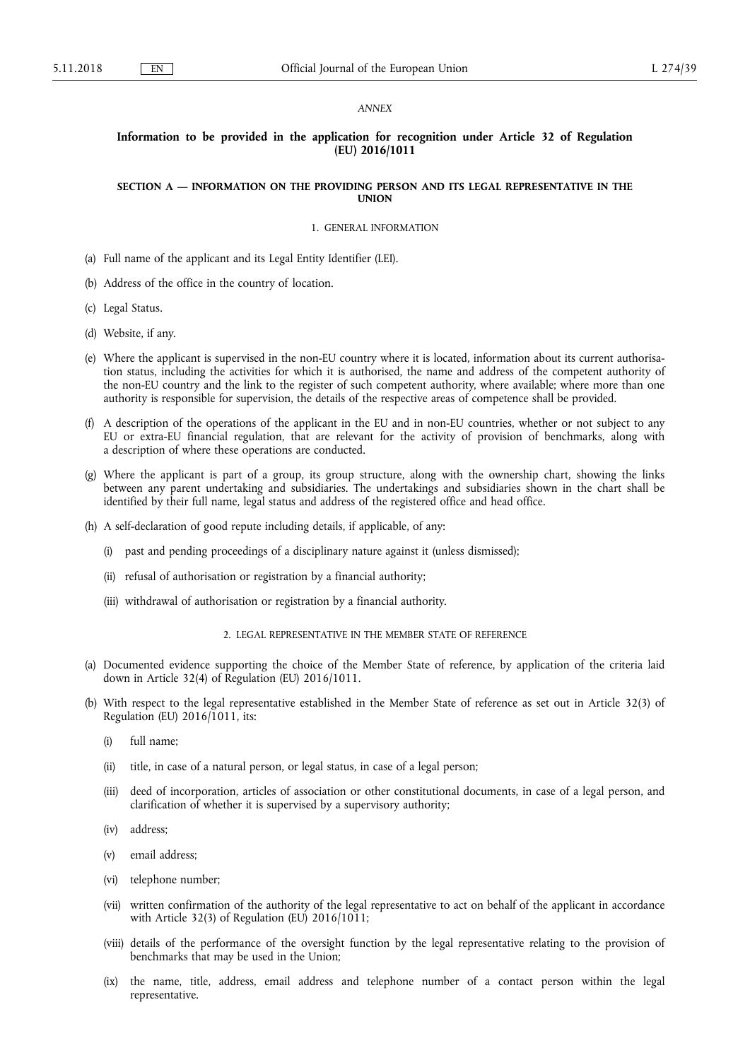#### *ANNEX*

## **Information to be provided in the application for recognition under Article 32 of Regulation (EU) 2016/1011**

### **SECTION A — INFORMATION ON THE PROVIDING PERSON AND ITS LEGAL REPRESENTATIVE IN THE UNION**

# 1. GENERAL INFORMATION

- (a) Full name of the applicant and its Legal Entity Identifier (LEI).
- (b) Address of the office in the country of location.
- (c) Legal Status.
- (d) Website, if any.
- (e) Where the applicant is supervised in the non-EU country where it is located, information about its current authorisation status, including the activities for which it is authorised, the name and address of the competent authority of the non-EU country and the link to the register of such competent authority, where available; where more than one authority is responsible for supervision, the details of the respective areas of competence shall be provided.
- (f) A description of the operations of the applicant in the EU and in non-EU countries, whether or not subject to any EU or extra-EU financial regulation, that are relevant for the activity of provision of benchmarks, along with a description of where these operations are conducted.
- (g) Where the applicant is part of a group, its group structure, along with the ownership chart, showing the links between any parent undertaking and subsidiaries. The undertakings and subsidiaries shown in the chart shall be identified by their full name, legal status and address of the registered office and head office.
- (h) A self-declaration of good repute including details, if applicable, of any:
	- (i) past and pending proceedings of a disciplinary nature against it (unless dismissed);
	- (ii) refusal of authorisation or registration by a financial authority;
	- (iii) withdrawal of authorisation or registration by a financial authority.
		- 2. LEGAL REPRESENTATIVE IN THE MEMBER STATE OF REFERENCE
- (a) Documented evidence supporting the choice of the Member State of reference, by application of the criteria laid down in Article 32(4) of Regulation (EU) 2016/1011.
- (b) With respect to the legal representative established in the Member State of reference as set out in Article 32(3) of Regulation (EU) 2016/1011, its:
	- (i) full name;
	- (ii) title, in case of a natural person, or legal status, in case of a legal person;
	- (iii) deed of incorporation, articles of association or other constitutional documents, in case of a legal person, and clarification of whether it is supervised by a supervisory authority;
	- (iv) address;
	- (v) email address;
	- (vi) telephone number;
	- (vii) written confirmation of the authority of the legal representative to act on behalf of the applicant in accordance with Article 32(3) of Regulation (EU) 2016/1011;
	- (viii) details of the performance of the oversight function by the legal representative relating to the provision of benchmarks that may be used in the Union;
	- (ix) the name, title, address, email address and telephone number of a contact person within the legal representative.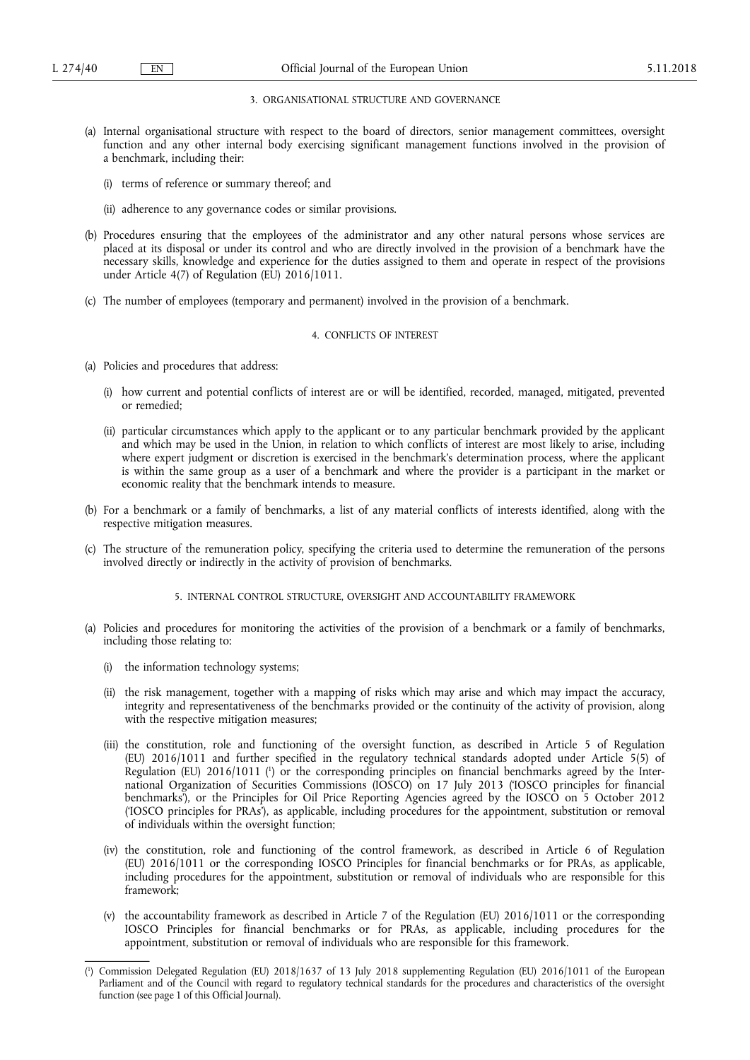## 3. ORGANISATIONAL STRUCTURE AND GOVERNANCE

- (a) Internal organisational structure with respect to the board of directors, senior management committees, oversight function and any other internal body exercising significant management functions involved in the provision of a benchmark, including their:
	- (i) terms of reference or summary thereof; and
	- (ii) adherence to any governance codes or similar provisions.
- (b) Procedures ensuring that the employees of the administrator and any other natural persons whose services are placed at its disposal or under its control and who are directly involved in the provision of a benchmark have the necessary skills, knowledge and experience for the duties assigned to them and operate in respect of the provisions under Article 4(7) of Regulation (EU) 2016/1011.
- (c) The number of employees (temporary and permanent) involved in the provision of a benchmark.

#### 4. CONFLICTS OF INTEREST

- (a) Policies and procedures that address:
	- (i) how current and potential conflicts of interest are or will be identified, recorded, managed, mitigated, prevented or remedied;
	- (ii) particular circumstances which apply to the applicant or to any particular benchmark provided by the applicant and which may be used in the Union, in relation to which conflicts of interest are most likely to arise, including where expert judgment or discretion is exercised in the benchmark's determination process, where the applicant is within the same group as a user of a benchmark and where the provider is a participant in the market or economic reality that the benchmark intends to measure.
- (b) For a benchmark or a family of benchmarks, a list of any material conflicts of interests identified, along with the respective mitigation measures.
- (c) The structure of the remuneration policy, specifying the criteria used to determine the remuneration of the persons involved directly or indirectly in the activity of provision of benchmarks.
	- 5. INTERNAL CONTROL STRUCTURE, OVERSIGHT AND ACCOUNTABILITY FRAMEWORK
- (a) Policies and procedures for monitoring the activities of the provision of a benchmark or a family of benchmarks, including those relating to:
	- (i) the information technology systems;
	- (ii) the risk management, together with a mapping of risks which may arise and which may impact the accuracy, integrity and representativeness of the benchmarks provided or the continuity of the activity of provision, along with the respective mitigation measures;
	- (iii) the constitution, role and functioning of the oversight function, as described in Article 5 of Regulation (EU) 2016/1011 and further specified in the regulatory technical standards adopted under Article 5(5) of Regulation (EU) 2016/1011 (<sup>1</sup>) or the corresponding principles on financial benchmarks agreed by the International Organization of Securities Commissions (IOSCO) on 17 July 2013 ('IOSCO principles for financial benchmarks'), or the Principles for Oil Price Reporting Agencies agreed by the IOSCO on 5 October 2012 ('IOSCO principles for PRAs'), as applicable, including procedures for the appointment, substitution or removal of individuals within the oversight function;
	- (iv) the constitution, role and functioning of the control framework, as described in Article 6 of Regulation (EU) 2016/1011 or the corresponding IOSCO Principles for financial benchmarks or for PRAs, as applicable, including procedures for the appointment, substitution or removal of individuals who are responsible for this framework;
	- (v) the accountability framework as described in Article 7 of the Regulation (EU) 2016/1011 or the corresponding IOSCO Principles for financial benchmarks or for PRAs, as applicable, including procedures for the appointment, substitution or removal of individuals who are responsible for this framework.

<sup>(</sup> 1 ) Commission Delegated Regulation (EU) 2018/1637 of 13 July 2018 supplementing Regulation (EU) 2016/1011 of the European Parliament and of the Council with regard to regulatory technical standards for the procedures and characteristics of the oversight function (see page 1 of this Official Journal).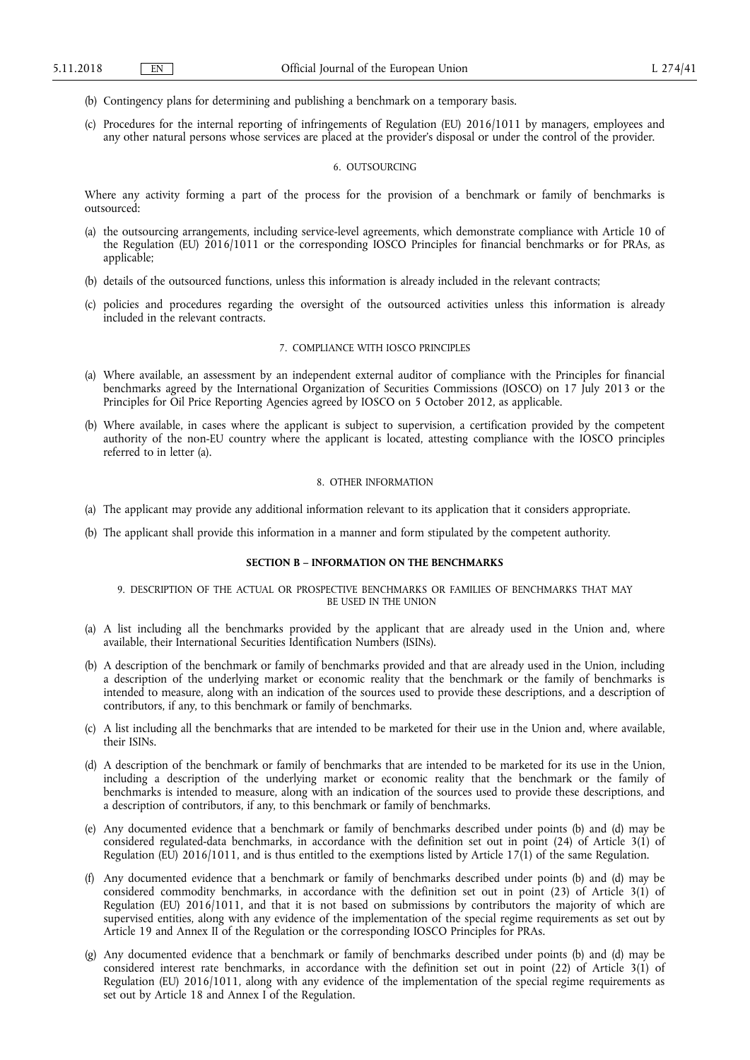- (b) Contingency plans for determining and publishing a benchmark on a temporary basis.
- (c) Procedures for the internal reporting of infringements of Regulation (EU) 2016/1011 by managers, employees and any other natural persons whose services are placed at the provider's disposal or under the control of the provider.

#### 6. OUTSOURCING

Where any activity forming a part of the process for the provision of a benchmark or family of benchmarks is outsourced:

- (a) the outsourcing arrangements, including service-level agreements, which demonstrate compliance with Article 10 of the Regulation (EU) 2016/1011 or the corresponding IOSCO Principles for financial benchmarks or for PRAs, as applicable;
- (b) details of the outsourced functions, unless this information is already included in the relevant contracts;
- (c) policies and procedures regarding the oversight of the outsourced activities unless this information is already included in the relevant contracts.

### 7. COMPLIANCE WITH IOSCO PRINCIPLES

- (a) Where available, an assessment by an independent external auditor of compliance with the Principles for financial benchmarks agreed by the International Organization of Securities Commissions (IOSCO) on 17 July 2013 or the Principles for Oil Price Reporting Agencies agreed by IOSCO on 5 October 2012, as applicable.
- (b) Where available, in cases where the applicant is subject to supervision, a certification provided by the competent authority of the non-EU country where the applicant is located, attesting compliance with the IOSCO principles referred to in letter (a).

### 8. OTHER INFORMATION

- (a) The applicant may provide any additional information relevant to its application that it considers appropriate.
- (b) The applicant shall provide this information in a manner and form stipulated by the competent authority.

### **SECTION B – INFORMATION ON THE BENCHMARKS**

### 9. DESCRIPTION OF THE ACTUAL OR PROSPECTIVE BENCHMARKS OR FAMILIES OF BENCHMARKS THAT MAY BE USED IN THE UNION

- (a) A list including all the benchmarks provided by the applicant that are already used in the Union and, where available, their International Securities Identification Numbers (ISINs).
- (b) A description of the benchmark or family of benchmarks provided and that are already used in the Union, including a description of the underlying market or economic reality that the benchmark or the family of benchmarks is intended to measure, along with an indication of the sources used to provide these descriptions, and a description of contributors, if any, to this benchmark or family of benchmarks.
- (c) A list including all the benchmarks that are intended to be marketed for their use in the Union and, where available, their ISINs.
- (d) A description of the benchmark or family of benchmarks that are intended to be marketed for its use in the Union, including a description of the underlying market or economic reality that the benchmark or the family of benchmarks is intended to measure, along with an indication of the sources used to provide these descriptions, and a description of contributors, if any, to this benchmark or family of benchmarks.
- (e) Any documented evidence that a benchmark or family of benchmarks described under points (b) and (d) may be considered regulated-data benchmarks, in accordance with the definition set out in point (24) of Article 3(1) of Regulation (EU) 2016/1011, and is thus entitled to the exemptions listed by Article 17(1) of the same Regulation.
- (f) Any documented evidence that a benchmark or family of benchmarks described under points (b) and (d) may be considered commodity benchmarks, in accordance with the definition set out in point (23) of Article 3(1) of Regulation (EU) 2016/1011, and that it is not based on submissions by contributors the majority of which are supervised entities, along with any evidence of the implementation of the special regime requirements as set out by Article 19 and Annex II of the Regulation or the corresponding IOSCO Principles for PRAs.
- (g) Any documented evidence that a benchmark or family of benchmarks described under points (b) and (d) may be considered interest rate benchmarks, in accordance with the definition set out in point (22) of Article 3(1) of Regulation (EU) 2016/1011, along with any evidence of the implementation of the special regime requirements as set out by Article 18 and Annex I of the Regulation.